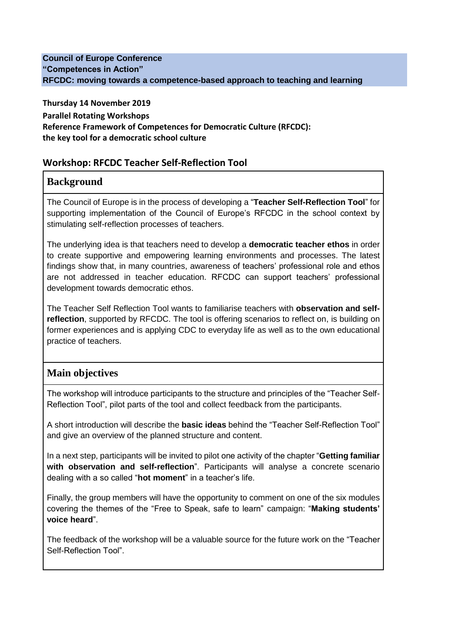#### **Council of Europe Conference "Competences in Action" RFCDC: moving towards a competence-based approach to teaching and learning**

**Thursday 14 November 2019 Parallel Rotating Workshops Reference Framework of Competences for Democratic Culture (RFCDC): the key tool for a democratic school culture**

#### **Workshop: RFCDC Teacher Self-Reflection Tool**

### **Background**

The Council of Europe is in the process of developing a "**Teacher Self-Reflection Tool**" for supporting implementation of the Council of Europe's RFCDC in the school context by stimulating self-reflection processes of teachers.

The underlying idea is that teachers need to develop a **democratic teacher ethos** in order to create supportive and empowering learning environments and processes. The latest findings show that, in many countries, awareness of teachers' professional role and ethos are not addressed in teacher education. RFCDC can support teachers' professional development towards democratic ethos.

The Teacher Self Reflection Tool wants to familiarise teachers with **observation and selfreflection**, supported by RFCDC. The tool is offering scenarios to reflect on, is building on former experiences and is applying CDC to everyday life as well as to the own educational practice of teachers.

## **Main objectives**

The workshop will introduce participants to the structure and principles of the "Teacher Self-Reflection Tool", pilot parts of the tool and collect feedback from the participants.

A short introduction will describe the **basic ideas** behind the "Teacher Self-Reflection Tool" and give an overview of the planned structure and content.

In a next step, participants will be invited to pilot one activity of the chapter "**Getting familiar with observation and self-reflection**". Participants will analyse a concrete scenario dealing with a so called "**hot moment**" in a teacher's life.

Finally, the group members will have the opportunity to comment on one of the six modules covering the themes of the "Free to Speak, safe to learn" campaign: "**Making students' voice heard**".

The feedback of the workshop will be a valuable source for the future work on the "Teacher Self-Reflection Tool".